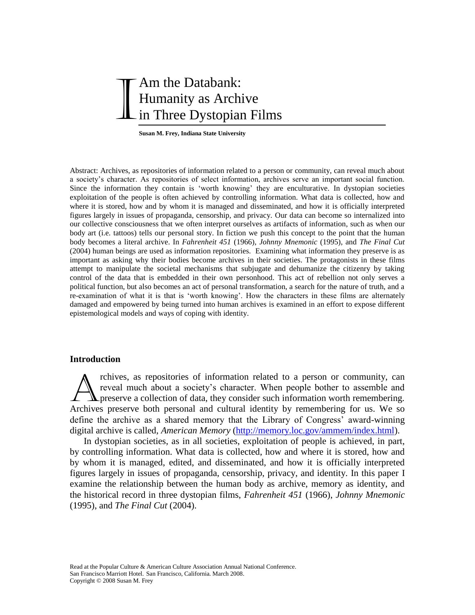# Am the Databank: Humanity as Archive<br>in Three Dystopian Films

**Susan M. Frey, Indiana State University**

Abstract: Archives, as repositories of information related to a person or community, can reveal much about a society"s character. As repositories of select information, archives serve an important social function. Since the information they contain is "worth knowing" they are enculturative. In dystopian societies exploitation of the people is often achieved by controlling information. What data is collected, how and where it is stored, how and by whom it is managed and disseminated, and how it is officially interpreted figures largely in issues of propaganda, censorship, and privacy. Our data can become so internalized into our collective consciousness that we often interpret ourselves as artifacts of information, such as when our body art (i.e. tattoos) tells our personal story. In fiction we push this concept to the point that the human body becomes a literal archive. In *Fahrenheit 451* (1966), *Johnny Mnemonic* (1995), and *The Final Cut* (2004) human beings are used as information repositories. Examining what information they preserve is as important as asking why their bodies become archives in their societies. The protagonists in these films attempt to manipulate the societal mechanisms that subjugate and dehumanize the citizenry by taking control of the data that is embedded in their own personhood. This act of rebellion not only serves a political function, but also becomes an act of personal transformation, a search for the nature of truth, and a re-examination of what it is that is "worth knowing". How the characters in these films are alternately damaged and empowered by being turned into human archives is examined in an effort to expose different epistemological models and ways of coping with identity.

#### **Introduction**

rchives, as repositories of information related to a person or community, can reveal much about a society"s character. When people bother to assemble and **I** preserve a collection of data, they consider such information worth remembering. Archives preserve both personal and cultural identity by remembering for us. We so define the archive as a shared memory that the Library of Congress' award-winning digital archive is called, *American Memory* [\(http://memory.loc.gov/ammem/index.html\)](http://memory.loc.gov/ammem/index.html). A

In dystopian societies, as in all societies, exploitation of people is achieved, in part, by controlling information. What data is collected, how and where it is stored, how and by whom it is managed, edited, and disseminated, and how it is officially interpreted figures largely in issues of propaganda, censorship, privacy, and identity. In this paper I examine the relationship between the human body as archive, memory as identity, and the historical record in three dystopian films, *Fahrenheit 451* (1966), *Johnny Mnemonic* (1995), and *The Final Cut* (2004).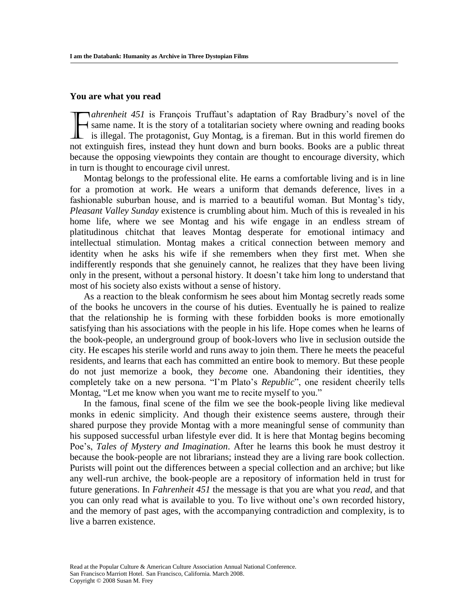#### **You are what you read**

*ahrenheit 451* is François Truffaut"s adaptation of Ray Bradbury"s novel of the  $\triangleleft$  same name. It is the story of a totalitarian society where owning and reading books is illegal. The protagonist, Guy Montag, is a fireman. But in this world firemen do not extinguish fires, instead they hunt down and burn books. Books are a public threat because the opposing viewpoints they contain are thought to encourage diversity, which in turn is thought to encourage civil unrest. F

Montag belongs to the professional elite. He earns a comfortable living and is in line for a promotion at work. He wears a uniform that demands deference, lives in a fashionable suburban house, and is married to a beautiful woman. But Montag's tidy, *Pleasant Valley Sunday* existence is crumbling about him. Much of this is revealed in his home life, where we see Montag and his wife engage in an endless stream of platitudinous chitchat that leaves Montag desperate for emotional intimacy and intellectual stimulation. Montag makes a critical connection between memory and identity when he asks his wife if she remembers when they first met. When she indifferently responds that she genuinely cannot, he realizes that they have been living only in the present, without a personal history. It doesn"t take him long to understand that most of his society also exists without a sense of history.

As a reaction to the bleak conformism he sees about him Montag secretly reads some of the books he uncovers in the course of his duties. Eventually he is pained to realize that the relationship he is forming with these forbidden books is more emotionally satisfying than his associations with the people in his life. Hope comes when he learns of the book-people, an underground group of book-lovers who live in seclusion outside the city. He escapes his sterile world and runs away to join them. There he meets the peaceful residents, and learns that each has committed an entire book to memory. But these people do not just memorize a book, they *becom*e one. Abandoning their identities, they completely take on a new persona. "I"m Plato"s *Republic*", one resident cheerily tells Montag, "Let me know when you want me to recite myself to you."

In the famous, final scene of the film we see the book-people living like medieval monks in edenic simplicity. And though their existence seems austere, through their shared purpose they provide Montag with a more meaningful sense of community than his supposed successful urban lifestyle ever did. It is here that Montag begins becoming Poe"s, *Tales of Mystery and Imagination*. After he learns this book he must destroy it because the book-people are not librarians; instead they are a living rare book collection. Purists will point out the differences between a special collection and an archive; but like any well-run archive, the book-people are a repository of information held in trust for future generations. In *Fahrenheit 451* the message is that you are what you *read*, and that you can only read what is available to you. To live without one's own recorded history, and the memory of past ages, with the accompanying contradiction and complexity, is to live a barren existence.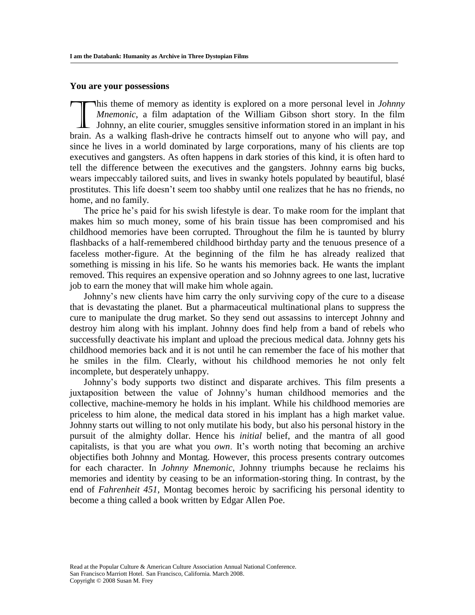#### **You are your possessions**

his theme of memory as identity is explored on a more personal level in *Johnny Mnemonic*, a film adaptation of the William Gibson short story. In the film This theme of memory as identity is explored on a more personal level in *Johnny Mnemonic*, a film adaptation of the William Gibson short story. In the film Johnny, an elite courier, smuggles sensitive information stored brain. As a walking flash-drive he contracts himself out to anyone who will pay, and since he lives in a world dominated by large corporations, many of his clients are top executives and gangsters. As often happens in dark stories of this kind, it is often hard to tell the difference between the executives and the gangsters. Johnny earns big bucks, wears impeccably tailored suits, and lives in swanky hotels populated by beautiful, blasé prostitutes. This life doesn"t seem too shabby until one realizes that he has no friends, no home, and no family.

The price he"s paid for his swish lifestyle is dear. To make room for the implant that makes him so much money, some of his brain tissue has been compromised and his childhood memories have been corrupted. Throughout the film he is taunted by blurry flashbacks of a half-remembered childhood birthday party and the tenuous presence of a faceless mother-figure. At the beginning of the film he has already realized that something is missing in his life. So he wants his memories back. He wants the implant removed. This requires an expensive operation and so Johnny agrees to one last, lucrative job to earn the money that will make him whole again.

Johnny"s new clients have him carry the only surviving copy of the cure to a disease that is devastating the planet. But a pharmaceutical multinational plans to suppress the cure to manipulate the drug market. So they send out assassins to intercept Johnny and destroy him along with his implant. Johnny does find help from a band of rebels who successfully deactivate his implant and upload the precious medical data. Johnny gets his childhood memories back and it is not until he can remember the face of his mother that he smiles in the film. Clearly, without his childhood memories he not only felt incomplete, but desperately unhappy.

Johnny"s body supports two distinct and disparate archives. This film presents a juxtaposition between the value of Johnny"s human childhood memories and the collective, machine-memory he holds in his implant. While his childhood memories are priceless to him alone, the medical data stored in his implant has a high market value. Johnny starts out willing to not only mutilate his body, but also his personal history in the pursuit of the almighty dollar. Hence his *initial* belief, and the mantra of all good capitalists, is that you are what you *own*. It's worth noting that becoming an archive objectifies both Johnny and Montag. However, this process presents contrary outcomes for each character. In *Johnny Mnemonic*, Johnny triumphs because he reclaims his memories and identity by ceasing to be an information-storing thing. In contrast, by the end of *Fahrenheit 451,* Montag becomes heroic by sacrificing his personal identity to become a thing called a book written by Edgar Allen Poe.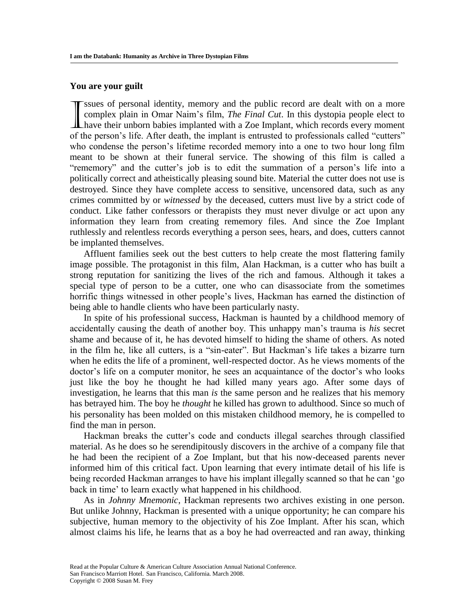## **You are your guilt**

ssues of personal identity, memory and the public record are dealt with on a more complex plain in Omar Naim"s film, *The Final Cut*. In this dystopia people elect to **T** ssues of personal identity, memory and the public record are dealt with on a more complex plain in Omar Naim's film, *The Final Cut*. In this dystopia people elect to have their unborn babies implanted with a Zoe Impla of the person"s life. After death, the implant is entrusted to professionals called "cutters" who condense the person's lifetime recorded memory into a one to two hour long film meant to be shown at their funeral service. The showing of this film is called a "rememory" and the cutter"s job is to edit the summation of a person"s life into a politically correct and atheistically pleasing sound bite. Material the cutter does not use is destroyed. Since they have complete access to sensitive, uncensored data, such as any crimes committed by or *witnessed* by the deceased, cutters must live by a strict code of conduct. Like father confessors or therapists they must never divulge or act upon any information they learn from creating rememory files. And since the Zoe Implant ruthlessly and relentless records everything a person sees, hears, and does, cutters cannot be implanted themselves.

Affluent families seek out the best cutters to help create the most flattering family image possible. The protagonist in this film, Alan Hackman, is a cutter who has built a strong reputation for sanitizing the lives of the rich and famous. Although it takes a special type of person to be a cutter, one who can disassociate from the sometimes horrific things witnessed in other people's lives, Hackman has earned the distinction of being able to handle clients who have been particularly nasty.

In spite of his professional success, Hackman is haunted by a childhood memory of accidentally causing the death of another boy. This unhappy man"s trauma is *his* secret shame and because of it, he has devoted himself to hiding the shame of others. As noted in the film he, like all cutters, is a "sin-eater". But Hackman"s life takes a bizarre turn when he edits the life of a prominent, well-respected doctor. As he views moments of the doctor's life on a computer monitor, he sees an acquaintance of the doctor's who looks just like the boy he thought he had killed many years ago. After some days of investigation, he learns that this man *is* the same person and he realizes that his memory has betrayed him. The boy he *thought* he killed has grown to adulthood. Since so much of his personality has been molded on this mistaken childhood memory, he is compelled to find the man in person.

Hackman breaks the cutter"s code and conducts illegal searches through classified material. As he does so he serendipitously discovers in the archive of a company file that he had been the recipient of a Zoe Implant, but that his now-deceased parents never informed him of this critical fact. Upon learning that every intimate detail of his life is being recorded Hackman arranges to have his implant illegally scanned so that he can "go back in time' to learn exactly what happened in his childhood.

As in *Johnny Mnemonic*, Hackman represents two archives existing in one person. But unlike Johnny, Hackman is presented with a unique opportunity; he can compare his subjective, human memory to the objectivity of his Zoe Implant. After his scan, which almost claims his life, he learns that as a boy he had overreacted and ran away, thinking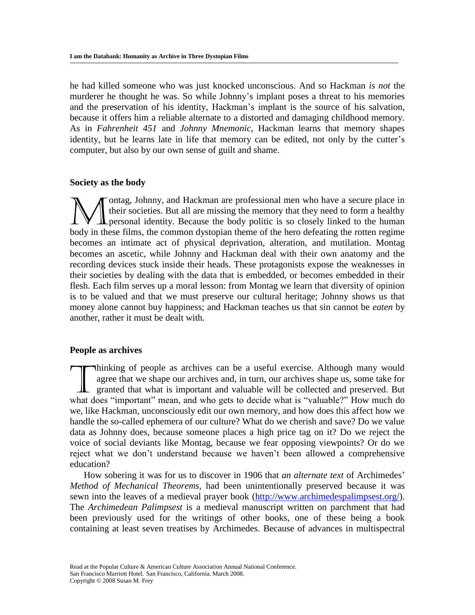he had killed someone who was just knocked unconscious. And so Hackman *is not* the murderer he thought he was. So while Johnny"s implant poses a threat to his memories and the preservation of his identity, Hackman"s implant is the source of his salvation, because it offers him a reliable alternate to a distorted and damaging childhood memory. As in *Fahrenheit 451* and *Johnny Mnemonic*, Hackman learns that memory shapes identity, but he learns late in life that memory can be edited, not only by the cutter's computer, but also by our own sense of guilt and shame.

### **Society as the body**

ontag, Johnny, and Hackman are professional men who have a secure place in their societies. But all are missing the memory that they need to form a healthy **I** personal identity. Because the body politic is so closely linked to the human body in these films, the common dystopian theme of the hero defeating the rotten regime becomes an intimate act of physical deprivation, alteration, and mutilation. Montag becomes an ascetic, while Johnny and Hackman deal with their own anatomy and the recording devices stuck inside their heads. These protagonists expose the weaknesses in their societies by dealing with the data that is embedded, or becomes embedded in their flesh. Each film serves up a moral lesson: from Montag we learn that diversity of opinion is to be valued and that we must preserve our cultural heritage; Johnny shows us that money alone cannot buy happiness; and Hackman teaches us that sin cannot be *eaten* by another, rather it must be dealt with. M

# **People as archives**

hinking of people as archives can be a useful exercise. Although many would agree that we shape our archives and, in turn, our archives shape us, some take for granted that what is important and valuable will be collected and preserved. But what does "important" mean, and who gets to decide what is "valuable?" How much do we, like Hackman, unconsciously edit our own memory, and how does this affect how we handle the so-called ephemera of our culture? What do we cherish and save? Do we value data as Johnny does, because someone places a high price tag on it? Do we reject the voice of social deviants like Montag, because we fear opposing viewpoints? Or do we reject what we don"t understand because we haven"t been allowed a comprehensive education? T

How sobering it was for us to discover in 1906 that *an alternate text* of Archimedes" *Method of Mechanical Theorems*, had been unintentionally preserved because it was sewn into the leaves of a medieval prayer book [\(http://www.archimedespalimpsest.org/\)](http://www.archimedespalimpsest.org/). The *Archimedean Palimpsest* is a medieval manuscript written on parchment that had been previously used for the writings of other books, one of these being a book containing at least seven treatises by Archimedes. Because of advances in multispectral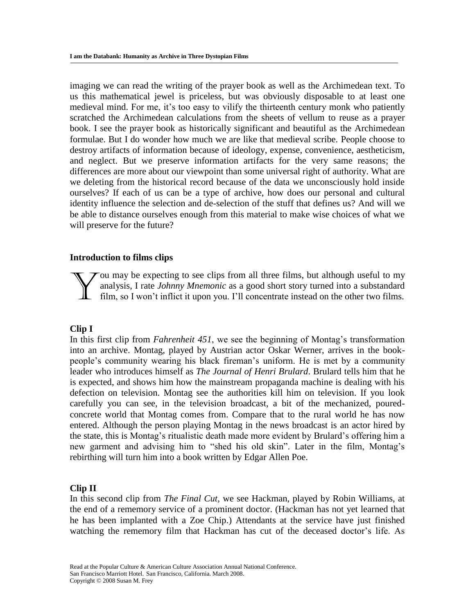imaging we can read the writing of the prayer book as well as the Archimedean text. To us this mathematical jewel is priceless, but was obviously disposable to at least one medieval mind. For me, it's too easy to vilify the thirteenth century monk who patiently scratched the Archimedean calculations from the sheets of vellum to reuse as a prayer book. I see the prayer book as historically significant and beautiful as the Archimedean formulae. But I do wonder how much we are like that medieval scribe. People choose to destroy artifacts of information because of ideology, expense, convenience, aestheticism, and neglect. But we preserve information artifacts for the very same reasons; the differences are more about our viewpoint than some universal right of authority. What are we deleting from the historical record because of the data we unconsciously hold inside ourselves? If each of us can be a type of archive, how does our personal and cultural identity influence the selection and de-selection of the stuff that defines us? And will we be able to distance ourselves enough from this material to make wise choices of what we will preserve for the future?

## **Introduction to films clips**

Fou may be expecting to see clips from all three films, but although useful to my analysis, I rate *Johnny Mnemonic* as a good short story turned into a substandard film, so I won"t inflict it upon you. I"ll concentrate instead on the other two films. Y

# **Clip I**

In this first clip from *Fahrenheit 451*, we see the beginning of Montag"s transformation into an archive. Montag, played by Austrian actor Oskar Werner, arrives in the bookpeople"s community wearing his black fireman"s uniform. He is met by a community leader who introduces himself as *The Journal of Henri Brulard*. Brulard tells him that he is expected, and shows him how the mainstream propaganda machine is dealing with his defection on television. Montag see the authorities kill him on television. If you look carefully you can see, in the television broadcast, a bit of the mechanized, pouredconcrete world that Montag comes from. Compare that to the rural world he has now entered. Although the person playing Montag in the news broadcast is an actor hired by the state, this is Montag"s ritualistic death made more evident by Brulard"s offering him a new garment and advising him to "shed his old skin". Later in the film, Montag"s rebirthing will turn him into a book written by Edgar Allen Poe.

# **Clip II**

In this second clip from *The Final Cut*, we see Hackman, played by Robin Williams, at the end of a rememory service of a prominent doctor. (Hackman has not yet learned that he has been implanted with a Zoe Chip.) Attendants at the service have just finished watching the rememory film that Hackman has cut of the deceased doctor"s life. As